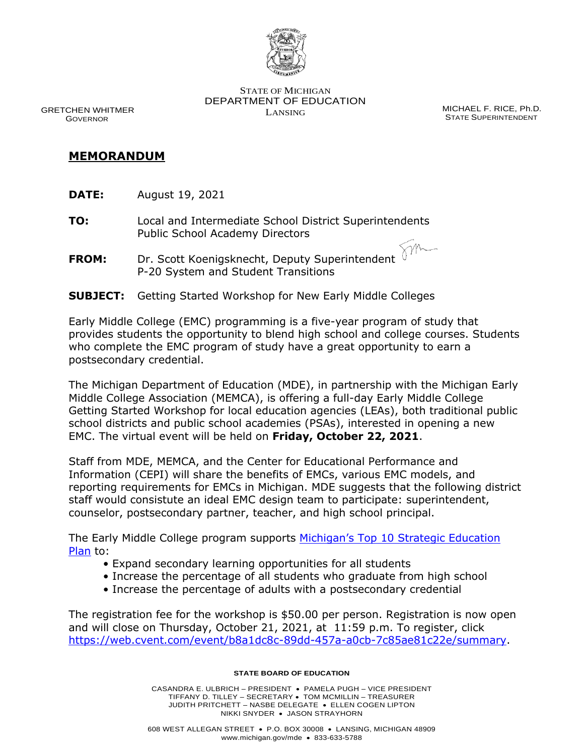

 GRETCHEN WHITMER GOVERNOR

STATE OF MICHIGAN DEPARTMENT OF EDUCATION LANSING MICHAEL F. RICE, Ph.D.

STATE SUPERINTENDENT

m

## **MEMORANDUM**

- **DATE:** August 19, 2021
- **TO:** Local and Intermediate School District Superintendents Public School Academy Directors
- **FROM:** Dr. Scott Koenigsknecht, Deputy Superintendent P-20 System and Student Transitions
- **SUBJECT:** Getting Started Workshop for New Early Middle Colleges

Early Middle College (EMC) programming is a five-year program of study that provides students the opportunity to blend high school and college courses. Students who complete the EMC program of study have a great opportunity to earn a postsecondary credential.

The Michigan Department of Education (MDE), in partnership with the Michigan Early Middle College Association (MEMCA), is offering a full-day Early Middle College Getting Started Workshop for local education agencies (LEAs), both traditional public school districts and public school academies (PSAs), interested in opening a new EMC. The virtual event will be held on **Friday, October 22, 2021**.

Staff from MDE, MEMCA, and the Center for Educational Performance and Information (CEPI) will share the benefits of EMCs, various EMC models, and reporting requirements for EMCs in Michigan. MDE suggests that the following district staff would consistute an ideal EMC design team to participate: superintendent, counselor, postsecondary partner, teacher, and high school principal.

The Early Middle College program supports Michigan's Top 10 Strategic Education [Plan](https://www.michigan.gov/documents/mde/Top_10_MI_Strategic_Ed_Plan-final_9.11.20_702098_7.pdf) to:

- Expand secondary learning opportunities for all students
- Increase the percentage of all students who graduate from high school
- Increase the percentage of adults with a postsecondary credential

The registration fee for the workshop is \$50.00 per person. Registration is now open and will close on Thursday, October 21, 2021, at 11:59 p.m. To register, click [https://web.cvent.com/event/b8a1dc8c-89dd-457a-a0cb-7c85ae81c22e/summary.](https://web.cvent.com/event/b8a1dc8c-89dd-457a-a0cb-7c85ae81c22e/summary)

## **STATE BOARD OF EDUCATION**

CASANDRA E. ULBRICH – PRESIDENT • PAMELA PUGH – VICE PRESIDENT TIFFANY D. TILLEY – SECRETARY • TOM MCMILLIN – TREASURER JUDITH PRITCHETT – NASBE DELEGATE • ELLEN COGEN LIPTON NIKKI SNYDER • JASON STRAYHORN